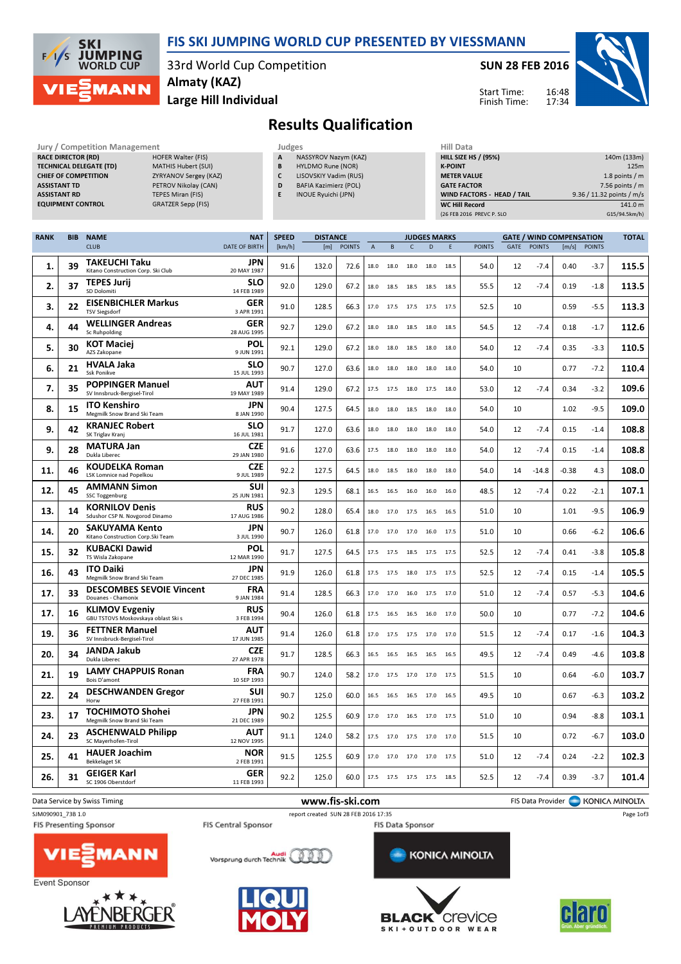

## FIS SKI JUMPING WORLD CUP PRESENTED BY VIESSMANN

33rd World Cup Competition Almaty (KAZ)

Large Hill Individual

SUN 28 FEB 2016

Start Time: Finish Time:



## Results Qualification

| Jury / Competition Management  |                           |
|--------------------------------|---------------------------|
| <b>RACE DIRECTOR (RD)</b>      | <b>HOFER Walter (FIS)</b> |
| <b>TECHNICAL DELEGATE (TD)</b> | <b>MATHIS Hubert (SU</b>  |
| <b>CHIEF OF COMPETITION</b>    | <b>ZYRYANOV Sergey</b> (  |
| <b>ASSISTANT TD</b>            | PETROV Nikolav (C         |
| <b>ASSISTANT RD</b>            | <b>TEPES Miran (FIS)</b>  |
| <b>EQUIDMENT CONTROL</b>       | GRATZER Sann (EIS)        |

| <b>Jury / Competition Management</b> |                          |   | Judges                       | <b>Hill Data</b>   |
|--------------------------------------|--------------------------|---|------------------------------|--------------------|
| <b>RACE DIRECTOR (RD)</b>            | HOFER Walter (FIS)       | A | NASSYROV Nazym (KAZ)         | <b>HILL SIZE H</b> |
| TECHNICAL DELEGATE (TD)              | MATHIS Hubert (SUI)      | B | HYLDMO Rune (NOR)            | <b>K-POINT</b>     |
| <b>CHIEF OF COMPETITION</b>          | ZYRYANOV Sergey (KAZ)    |   | LISOVSKIY Vadim (RUS)        | <b>METER VAI</b>   |
| <b>ASSISTANT TD</b>                  | PETROV Nikolay (CAN)     | D | <b>BAFIA Kazimierz (POL)</b> | <b>GATE FACT</b>   |
| <b>ASSISTANT RD</b>                  | <b>TEPES Miran (FIS)</b> |   | INOUE Ryuichi (JPN)          | <b>WIND FACT</b>   |
| <b>EQUIPMENT CONTROL</b>             | GRATZER Sepp (FIS)       |   |                              | WC Hill Re         |
|                                      |                          |   |                              | $12C$ FED $201C$   |

- A NASSYROV Nazym (KAZ) B HYLDMO Rune (NOR) C LISOVSKIY Vadim (RUS) D BAFIA Kazimierz (POL)
- E INOUE Ryuichi (JPN)
	-

| HIII Data                         |                           |
|-----------------------------------|---------------------------|
| <b>HILL SIZE HS / (95%)</b>       | 140m (133m)               |
| <b>K-POINT</b>                    | 125m                      |
| <b>METER VALUE</b>                | 1.8 points $/m$           |
| <b>GATE FACTOR</b>                | $7.56$ points / m         |
| <b>WIND FACTORS - HEAD / TAIL</b> | 9.36 / 11.32 points / m/s |
| <b>WC Hill Record</b>             | 141.0 m                   |
| (26 FEB 2016 PREVC P. SLO         | G15/94.5km/h)             |

| <b>RANK</b> | <b>BIB</b> | <b>NAME</b>                                                  | <b>NAT</b>                | <b>SPEED</b> | <b>DISTANCE</b> |               |                |              |              | <b>JUDGES MARKS</b> |      |               |      |               | <b>GATE / WIND COMPENSATION</b> |               | <b>TOTAL</b> |
|-------------|------------|--------------------------------------------------------------|---------------------------|--------------|-----------------|---------------|----------------|--------------|--------------|---------------------|------|---------------|------|---------------|---------------------------------|---------------|--------------|
|             |            | <b>CLUB</b>                                                  | <b>DATE OF BIRTH</b>      | [km/h]       | [m]             | <b>POINTS</b> | $\overline{A}$ | <sub>B</sub> | $\mathsf{C}$ | $\overline{D}$      | F    | <b>POINTS</b> | GATE | <b>POINTS</b> | [m/s]                           | <b>POINTS</b> |              |
| 1.          | 39         | <b>TAKEUCHI Taku</b><br>Kitano Construction Corp. Ski Club   | <b>JPN</b><br>20 MAY 1987 | 91.6         | 132.0           | 72.6          | 18.0           | 18.0         | 18.0         | 18.0                | 18.5 | 54.0          | 12   | $-7.4$        | 0.40                            | $-3.7$        | 115.5        |
| 2.          | 37         | <b>TEPES Jurij</b><br>SD Dolomiti                            | <b>SLO</b><br>14 FEB 1989 | 92.0         | 129.0           | 67.2          | 18.0           | 18.5         | 18.5         | 18.5                | 18.5 | 55.5          | 12   | $-7.4$        | 0.19                            | $-1.8$        | 113.5        |
| 3.          | 22         | <b>EISENBICHLER Markus</b><br><b>TSV Siegsdorf</b>           | <b>GER</b><br>3 APR 1991  | 91.0         | 128.5           | 66.3          | 17.0           | 17.5         | 17.5         | 17.5                | 17.5 | 52.5          | 10   |               | 0.59                            | $-5.5$        | 113.3        |
| 4.          | 44         | <b>WELLINGER Andreas</b><br>Sc Ruhpolding                    | <b>GER</b><br>28 AUG 1995 | 92.7         | 129.0           | 67.2          | 18.0           | 18.0         | 18.5         | 18.0                | 18.5 | 54.5          | 12   | $-7.4$        | 0.18                            | $-1.7$        | 112.6        |
| 5.          | 30         | <b>KOT Maciej</b><br>AZS Zakopane                            | <b>POL</b><br>9 JUN 1991  | 92.1         | 129.0           | 67.2          | 18.0           | 18.0         | 18.5         | 18.0                | 18.0 | 54.0          | 12   | $-7.4$        | 0.35                            | $-3.3$        | 110.5        |
| 6.          | 21         | <b>HVALA Jaka</b><br><b>Ssk Ponikve</b>                      | <b>SLO</b><br>15 JUL 1993 | 90.7         | 127.0           | 63.6          | 18.0           | 18.0         | 18.0         | 18.0                | 18.0 | 54.0          | 10   |               | 0.77                            | $-7.2$        | 110.4        |
| 7.          | 35         | <b>POPPINGER Manuel</b><br>SV Innsbruck-Bergisel-Tirol       | AUT<br>19 MAY 1989        | 91.4         | 129.0           | 67.2          | 17.5           | 17.5         | 18.0         | 17.5                | 18.0 | 53.0          | 12   | $-7.4$        | 0.34                            | $-3.2$        | 109.6        |
| 8.          | 15         | <b>ITO Kenshiro</b><br>Megmilk Snow Brand Ski Team           | JPN<br>8 JAN 1990         | 90.4         | 127.5           | 64.5          | 18.0           | 18.0         | 18.5         | 18.0                | 18.0 | 54.0          | 10   |               | 1.02                            | $-9.5$        | 109.0        |
| 9.          | 42         | <b>KRANJEC Robert</b><br>SK Triglav Kranj                    | <b>SLO</b><br>16 JUL 1981 | 91.7         | 127.0           | 63.6          | 18.0           | 18.0         | 18.0         | 18.0                | 18.0 | 54.0          | 12   | $-7.4$        | 0.15                            | $-1.4$        | 108.8        |
| 9.          | 28         | <b>MATURA Jan</b><br>Dukla Liberec                           | <b>CZE</b><br>29 JAN 1980 | 91.6         | 127.0           | 63.6          | 17.5           | 18.0         | 18.0         | 18.0                | 18.0 | 54.0          | 12   | $-7.4$        | 0.15                            | $-1.4$        | 108.8        |
| 11.         | 46         | <b>KOUDELKA Roman</b><br><b>LSK Lomnice nad Popelkou</b>     | <b>CZE</b><br>9 JUL 1989  | 92.2         | 127.5           | 64.5          | 18.0           | 18.5         | 18.0         | 18.0                | 18.0 | 54.0          | 14   | $-14.8$       | $-0.38$                         | 4.3           | 108.0        |
| 12.         | 45         | <b>AMMANN Simon</b><br><b>SSC Toggenburg</b>                 | <b>SUI</b><br>25 JUN 1981 | 92.3         | 129.5           | 68.1          | 16.5           | 16.5         | 16.0         | 16.0                | 16.0 | 48.5          | 12   | $-7.4$        | 0.22                            | $-2.1$        | 107.1        |
| 13.         | 14         | <b>KORNILOV Denis</b><br>Sdushor CSP N. Novgorod Dinamo      | <b>RUS</b><br>17 AUG 1986 | 90.2         | 128.0           | 65.4          | 18.0           | 17.0         | 17.5         | 16.5                | 16.5 | 51.0          | 10   |               | 1.01                            | $-9.5$        | 106.9        |
| 14.         | 20         | <b>SAKUYAMA Kento</b><br>Kitano Construction Corp. Ski Team  | JPN<br>3 JUL 1990         | 90.7         | 126.0           | 61.8          | 17.0           | 17.0         | 17.0         | 16.0                | 17.5 | 51.0          | 10   |               | 0.66                            | $-6.2$        | 106.6        |
| 15.         | 32         | <b>KUBACKI Dawid</b><br>TS Wisla Zakopane                    | <b>POL</b><br>12 MAR 1990 | 91.7         | 127.5           | 64.5          | 17.5           | 17.5         | 18.5         | 17.5                | 17.5 | 52.5          | 12   | $-7.4$        | 0.41                            | $-3.8$        | 105.8        |
| 16.         | 43         | <b>ITO Daiki</b><br>Megmilk Snow Brand Ski Team              | <b>JPN</b><br>27 DEC 1985 | 91.9         | 126.0           | 61.8          | 17.5           | 17.5         | 18.0 17.5    |                     | 17.5 | 52.5          | 12   | $-7.4$        | 0.15                            | $-1.4$        | 105.5        |
| 17.         | 33         | <b>DESCOMBES SEVOIE Vincent</b><br>Douanes - Chamonix        | <b>FRA</b><br>9 JAN 1984  | 91.4         | 128.5           | 66.3          | 17.0           | 17.0         | 16.0         | 17.5                | 17.0 | 51.0          | 12   | $-7.4$        | 0.57                            | $-5.3$        | 104.6        |
| 17.         | 16         | <b>KLIMOV Evgeniy</b><br>GBU TSTOVS Moskovskaya oblast Ski s | <b>RUS</b><br>3 FEB 1994  | 90.4         | 126.0           | 61.8          | 17.5           | 16.5         | 16.5         | 16.0                | 17.0 | 50.0          | 10   |               | 0.77                            | $-7.2$        | 104.6        |
| 19.         | 36         | <b>FETTNER Manuel</b><br>SV Innsbruck-Bergisel-Tirol         | <b>AUT</b><br>17 JUN 1985 | 91.4         | 126.0           | 61.8          | 17.0           | 17.5         | 17.5         | 17.0                | 17.0 | 51.5          | 12   | $-7.4$        | 0.17                            | $-1.6$        | 104.3        |
| 20.         | 34         | JANDA Jakub<br>Dukla Liberec                                 | <b>CZE</b><br>27 APR 1978 | 91.7         | 128.5           | 66.3          | 16.5           | 16.5         | 16.5         | 16.5                | 16.5 | 49.5          | 12   | $-7.4$        | 0.49                            | $-4.6$        | 103.8        |
| 21.         | 19         | <b>LAMY CHAPPUIS Ronan</b><br>Bois D'amont                   | <b>FRA</b><br>10 SEP 1993 | 90.7         | 124.0           | 58.2          | 17.0           | 17.5         | 17.0         | 17.0                | 17.5 | 51.5          | 10   |               | 0.64                            | $-6.0$        | 103.7        |
| 22.         | 24         | <b>DESCHWANDEN Gregor</b><br>Horw                            | <b>SUI</b><br>27 FEB 1991 | 90.7         | 125.0           | 60.0          | 16.5           | 16.5         | 16.5         | 17.0                | 16.5 | 49.5          | 10   |               | 0.67                            | $-6.3$        | 103.2        |
| 23.         | 17         | <b>TOCHIMOTO Shohei</b><br>Megmilk Snow Brand Ski Team       | <b>JPN</b><br>21 DEC 1989 | 90.2         | 125.5           | 60.9          | 17.0           | 17.0         | 16.5 17.0    |                     | 17.5 | 51.0          | 10   |               | 0.94                            | $-8.8$        | 103.1        |
| 24.         | 23         | <b>ASCHENWALD Philipp</b><br>SC Mayerhofen-Tirol             | <b>AUT</b><br>12 NOV 1995 | 91.1         | 124.0           | 58.2          | 17.5           | 17.0         | 17.5         | 17.0                | 17.0 | 51.5          | 10   |               | 0.72                            | $-6.7$        | 103.0        |
| 25.         | 41         | <b>HAUER Joachim</b><br><b>Bekkelaget SK</b>                 | <b>NOR</b><br>2 FEB 1991  | 91.5         | 125.5           | 60.9          | 17.0           | 17.0         | 17.0         | 17.0                | 17.5 | 51.0          | 12   | $-7.4$        | 0.24                            | $-2.2$        | 102.3        |
| 26.         | 31         | <b>GEIGER Karl</b><br>SC 1906 Oberstdorf                     | <b>GER</b><br>11 FEB 1993 | 92.2         | 125.0           | 60.0          |                |              |              | 17.5 17.5 17.5 17.5 | 18.5 | 52.5          | 12   | $-7.4$        | 0.39                            | $-3.7$        | 101.4        |













Page 1of3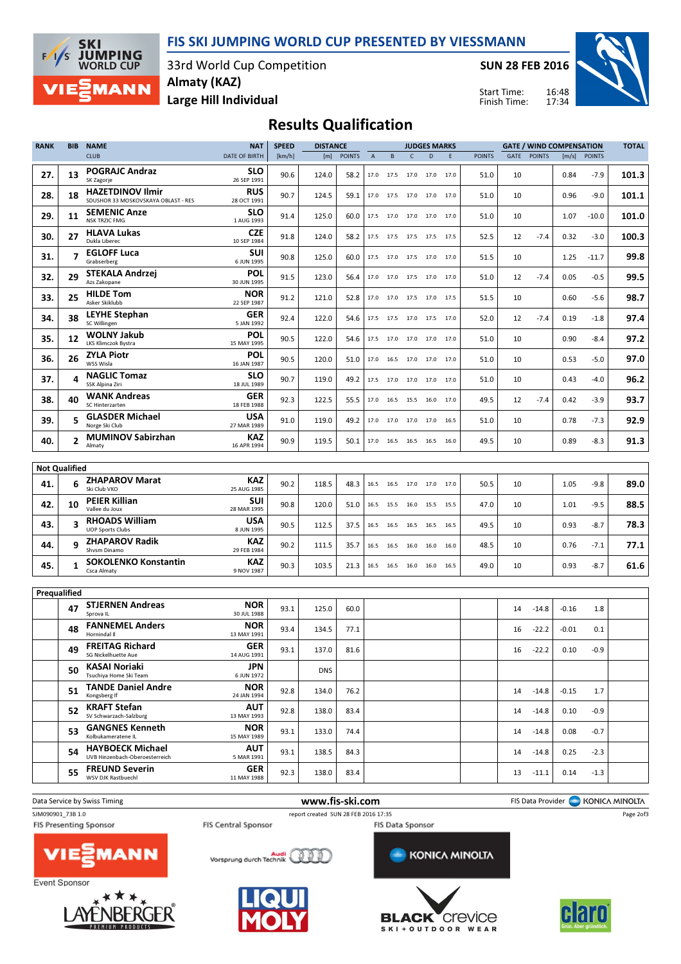FIS SKI JUMPING WORLD CUP PRESENTED BY VIESSMANN

**JUMPING**<br>WORLD CUP 33rd World Cup Competition Almaty (KAZ) **MANN** 

**SKI** 

 $\sqrt{ }$ ∕<

SUN 28 FEB 2016

Start Time: Finish Time:



Large Hill Individual

| <b>Results Qualification</b> |  |  |
|------------------------------|--|--|
|------------------------------|--|--|

| <b>RANK</b>          | <b>BIB</b>     | <b>NAME</b>                                                    | <b>NAT</b>                | <b>SPEED</b> | <b>DISTANCE</b> |               |      |                     |              | <b>JUDGES MARKS</b>      |      |               |             | <b>GATE / WIND COMPENSATION</b> |         |               | <b>TOTAL</b> |
|----------------------|----------------|----------------------------------------------------------------|---------------------------|--------------|-----------------|---------------|------|---------------------|--------------|--------------------------|------|---------------|-------------|---------------------------------|---------|---------------|--------------|
|                      |                | <b>CLUB</b>                                                    | <b>DATE OF BIRTH</b>      | [km/h]       | [m]             | <b>POINTS</b> | А    | B                   | $\mathsf{C}$ | D                        | E    | <b>POINTS</b> | <b>GATE</b> | <b>POINTS</b>                   | [m/s]   | <b>POINTS</b> |              |
| 27.                  | 13             | <b>POGRAJC Andraz</b><br>SK Zagorje                            | <b>SLO</b><br>26 SEP 1991 | 90.6         | 124.0           | 58.2          |      | 17.0 17.5           | 17.0         | 17.0                     | 17.0 | 51.0          | 10          |                                 | 0.84    | $-7.9$        | 101.3        |
| 28.                  | 18             | <b>HAZETDINOV Ilmir</b><br>SDUSHOR 33 MOSKOVSKAYA OBLAST - RES | <b>RUS</b><br>28 OCT 1991 | 90.7         | 124.5           | 59.1          | 17.0 | 17.5                | 17.0         | 17.0                     | 17.0 | 51.0          | 10          |                                 | 0.96    | $-9.0$        | 101.1        |
| 29.                  | 11             | <b>SEMENIC Anze</b><br><b>NSK TRZIC FMG</b>                    | <b>SLO</b><br>1 AUG 1993  | 91.4         | 125.0           | 60.0          |      |                     |              | 17.5 17.0 17.0 17.0 17.0 |      | 51.0          | 10          |                                 | 1.07    | -10.0         | 101.0        |
| 30.                  | 27             | <b>HLAVA Lukas</b><br>Dukla Liberec                            | CZE<br>10 SEP 1984        | 91.8         | 124.0           | 58.2          | 17.5 | 17.5                |              | 17.5 17.5 17.5           |      | 52.5          | 12          | $-7.4$                          | 0.32    | $-3.0$        | 100.3        |
| 31.                  | 7              | <b>EGLOFF Luca</b><br>Grabserberg                              | SUI<br>6 JUN 1995         | 90.8         | 125.0           | 60.0          |      |                     |              | 17.5 17.0 17.5 17.0 17.0 |      | 51.5          | 10          |                                 | 1.25    | $-11.7$       | 99.8         |
| 32.                  | 29             | STEKALA Andrzej<br>Azs Zakopane                                | POL<br>30 JUN 1995        | 91.5         | 123.0           | 56.4          | 17.0 | 17.0                |              | 17.5 17.0 17.0           |      | 51.0          | 12          | $-7.4$                          | 0.05    | $-0.5$        | 99.5         |
| 33.                  | 25             | <b>HILDE Tom</b><br>Asker Skiklubb                             | <b>NOR</b><br>22 SEP 1987 | 91.2         | 121.0           | 52.8          |      |                     |              | 17.0 17.0 17.5 17.0 17.5 |      | 51.5          | 10          |                                 | 0.60    | $-5.6$        | 98.7         |
| 34.                  | 38             | LEYHE Stephan<br>SC Willingen                                  | GER<br>5 JAN 1992         | 92.4         | 122.0           | 54.6          | 17.5 | 17.5                |              | 17.0 17.5 17.0           |      | 52.0          | 12          | $-7.4$                          | 0.19    | $-1.8$        | 97.4         |
| 35.                  | 12             | <b>WOLNY Jakub</b><br>LKS Klimczok Bystra                      | POL<br>15 MAY 1995        | 90.5         | 122.0           | 54.6          |      |                     |              | 17.5 17.0 17.0 17.0 17.0 |      | 51.0          | 10          |                                 | 0.90    | $-8.4$        | 97.2         |
| 36.                  | 26             | ZYLA Piotr<br>WSS Wisla                                        | POL<br>16 JAN 1987        | 90.5         | 120.0           | 51.0          | 17.0 | 16.5                |              | 17.0 17.0 17.0           |      | 51.0          | 10          |                                 | 0.53    | $-5.0$        | 97.0         |
| 37.                  | 4              | <b>NAGLIC Tomaz</b><br>SSK Alpina Ziri                         | <b>SLO</b><br>18 JUL 1989 | 90.7         | 119.0           | 49.2          |      |                     |              | 17.5 17.0 17.0 17.0 17.0 |      | 51.0          | 10          |                                 | 0.43    | $-4.0$        | 96.2         |
| 38.                  | 40             | <b>WANK Andreas</b><br>SC Hinterzarten                         | GER<br>18 FEB 1988        | 92.3         | 122.5           | 55.5          | 17.0 | 16.5                | 15.5         | 16.0                     | 17.0 | 49.5          | 12          | $-7.4$                          | 0.42    | $-3.9$        | 93.7         |
| 39.                  | 5              | <b>GLASDER Michael</b><br>Norge Ski Club                       | <b>USA</b><br>27 MAR 1989 | 91.0         | 119.0           | 49.2          | 17.0 |                     |              | 17.0 17.0 17.0           | 16.5 | 51.0          | 10          |                                 | 0.78    | $-7.3$        | 92.9         |
| 40.                  | $\overline{2}$ | <b>MUMINOV Sabirzhan</b><br>Almaty                             | KAZ<br>16 APR 1994        | 90.9         | 119.5           | 50.1          |      | 17.0 16.5           |              | 16.5 16.5 16.0           |      | 49.5          | 10          |                                 | 0.89    | $-8.3$        | 91.3         |
|                      |                |                                                                |                           |              |                 |               |      |                     |              |                          |      |               |             |                                 |         |               |              |
| <b>Not Qualified</b> |                |                                                                |                           |              |                 |               |      |                     |              |                          |      |               |             |                                 |         |               |              |
| 41.                  | 6              | <b>ZHAPAROV Marat</b><br>Ski Club VKO                          | KAZ<br>25 AUG 1985        | 90.2         | 118.5           | 48.3          | 16.5 | 16.5                | 17.0 17.0    |                          | 17.0 | 50.5          | 10          |                                 | 1.05    | $-9.8$        | 89.0         |
| 42.                  | 10             | <b>PEIER Killian</b><br>Vallee du Joux                         | SUI<br>28 MAR 1995        | 90.8         | 120.0           | 51.0          | 16.5 | 15.5                | 16.0         | 15.5 15.5                |      | 47.0          | 10          |                                 | 1.01    | $-9.5$        | 88.5         |
| 43.                  | 3              | <b>RHOADS William</b><br><b>UOP Sports Clubs</b>               | USA<br>8 JUN 1995         | 90.5         | 112.5           | 37.5          | 16.5 | 16.5                | 16.5         | 16.5                     | 16.5 | 49.5          | 10          |                                 | 0.93    | -8.7          | 78.3         |
| 44.                  | q              | <b>ZHAPAROV Radik</b><br>Shysm Dinamo                          | KAZ<br>29 FEB 1984        | 90.2         | 111.5           | 35.7          |      | 16.5 16.5           | 16.0 16.0    |                          | 16.0 | 48.5          | 10          |                                 | 0.76    | $-7.1$        | 77.1         |
| 45.                  | 1              | <b>SOKOLENKO Konstantin</b><br>Csca Almaty                     | KAZ<br>9 NOV 1987         | 90.3         | 103.5           | 21.3          |      | 16.5 16.5 16.0 16.0 |              |                          | 16.5 | 49.0          | 10          |                                 | 0.93    | $-8.7$        | 61.6         |
| Prequalified         |                |                                                                |                           |              |                 |               |      |                     |              |                          |      |               |             |                                 |         |               |              |
|                      |                | <b>STJERNEN Andreas</b>                                        | <b>NOR</b>                |              |                 |               |      |                     |              |                          |      |               |             |                                 |         |               |              |
|                      | 47             | Sprova IL<br><b>FANNEMEL Anders</b>                            | 30 JUL 1988<br>NOR        | 93.1         | 125.0           | 60.0          |      |                     |              |                          |      |               | 14          | $-14.8$                         | $-0.16$ | 1.8           |              |
|                      | 48             | Hornindal II<br><b>FREITAG Richard</b>                         | 13 MAY 1991<br><b>GER</b> | 93.4         | 134.5           | 77.1          |      |                     |              |                          |      |               | 16          | $-22.2$                         | $-0.01$ | 0.1           |              |
|                      | 49             | SG Nickelhuette Aue<br>KASAI Noriaki                           | 14 AUG 1991<br><b>JPN</b> | 93.1         | 137.0           | 81.6          |      |                     |              |                          |      |               | 16          | $-22.2$                         | 0.10    | $-0.9$        |              |
|                      | 50             | Tsuchiya Home Ski Team                                         | 6 JUN 1972                |              | <b>DNS</b>      |               |      |                     |              |                          |      |               |             |                                 |         |               |              |
|                      | 51             | <b>TANDE Daniel Andre</b><br>Kongsberg If                      | <b>NOR</b><br>24 JAN 1994 | 92.8         | 134.0           | 76.2          |      |                     |              |                          |      |               | 14          | $-14.8$                         | $-0.15$ | 1.7           |              |
|                      | 52             | <b>KRAFT Stefan</b><br>SV Schwarzach-Salzburg                  | AUT<br>13 MAY 1993        | 92.8         | 138.0           | 83.4          |      |                     |              |                          |      |               | 14          | $-14.8$                         | 0.10    | -0.9          |              |
|                      | 53             | <b>GANGNES Kenneth</b><br>Kolbukameratene IL                   | <b>NOR</b><br>15 MAY 1989 | 93.1         | 133.0           | 74.4          |      |                     |              |                          |      |               | 14          | $-14.8$                         | 0.08    | -0.7          |              |
|                      | 54             | <b>HAYBOECK Michael</b><br>UVB Hinzenbach-Oberoesterreich      | <b>AUT</b><br>5 MAR 1991  | 93.1         | 138.5           | 84.3          |      |                     |              |                          |      |               | 14          | $-14.8$                         | 0.25    | -2.3          |              |
|                      | 55             | <b>FREUND Severin</b><br>WSV DJK Rastbuechl                    | <b>GER</b><br>11 MAY 1988 | 92.3         | 138.0           | 83.4          |      |                     |              |                          |      |               | 13          | $-11.1$                         | 0.14    | $-1.3$        |              |
|                      |                |                                                                |                           |              |                 |               |      |                     |              |                          |      |               |             |                                 |         |               |              |



Event Sponsor